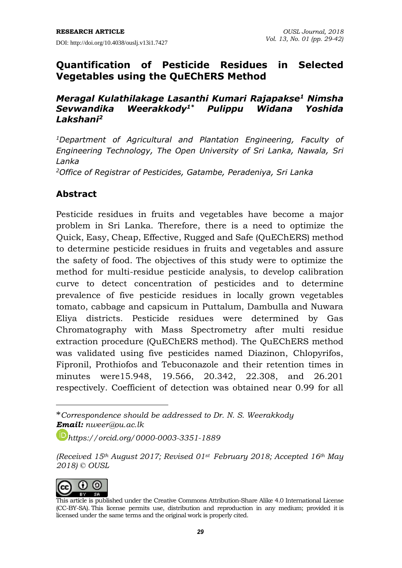### **Quantification of Pesticide Residues in Selected Vegetables using the QuEChERS Method**

#### *Meragal Kulathilakage Lasanthi Kumari Rajapakse<sup>1</sup> Nimsha Sevwandika Weerakkody1\* Pulippu Widana Yoshida Lakshani<sup>2</sup>*

*<sup>1</sup>Department of Agricultural and Plantation Engineering, Faculty of Engineering Technology, The Open University of Sri Lanka, Nawala, Sri Lanka*

*<sup>2</sup>Office of Registrar of Pesticides, Gatambe, Peradeniya, Sri Lanka*

### **Abstract**

Pesticide residues in fruits and vegetables have become a major problem in Sri Lanka. Therefore, there is a need to optimize the Quick, Easy, Cheap, Effective, Rugged and Safe (QuEChERS) method to determine pesticide residues in fruits and vegetables and assure the safety of food. The objectives of this study were to optimize the method for multi-residue pesticide analysis, to develop calibration curve to detect concentration of pesticides and to determine prevalence of five pesticide residues in locally grown vegetables tomato, cabbage and capsicum in Puttalum, Dambulla and Nuwara Eliya districts. Pesticide residues were determined by Gas Chromatography with Mass Spectrometry after multi residue extraction procedure (QuEChERS method). The QuEChERS method was validated using five pesticides named Diazinon, Chlopyrifos, Fipronil, Prothiofos and Tebuconazole and their retention times in minutes were15.948, 19.566, 20.342, 22.308, and 26.201 respectively. Coefficient of detection was obtained near 0.99 for all

*<https://orcid.org/0000-0003-3351-1889>*

*<sup>(</sup>Received 15th August 2017; Revised 01st February 2018; Accepted 16th May 2018) © OUSL*



 $\overline{a}$ 

<sup>\*</sup>*Correspondence should be addressed to Dr. N. S. Weerakkody Email: [nweer@ou.ac.lk](mailto:nweer@ou.ac.lk)*

This article is published under the Creative Commons [Attribution-Share](http://creativecommons.org/licenses/by-sa/4.0/) Alike 4.0 International License (CC-BY-SA). This license permits use, distribution and reproduction in any medium; provided it is licensed under the same terms and the original work is properly cited.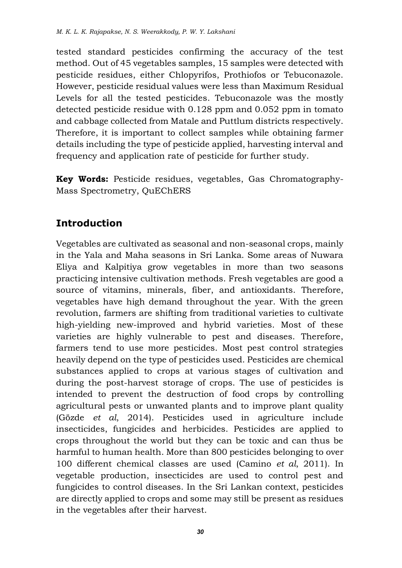tested standard pesticides confirming the accuracy of the test method. Out of 45 vegetables samples, 15 samples were detected with pesticide residues, either Chlopyrifos, Prothiofos or Tebuconazole. However, pesticide residual values were less than Maximum Residual Levels for all the tested pesticides. Tebuconazole was the mostly detected pesticide residue with 0.128 ppm and 0.052 ppm in tomato and cabbage collected from Matale and Puttlum districts respectively. Therefore, it is important to collect samples while obtaining farmer details including the type of pesticide applied, harvesting interval and frequency and application rate of pesticide for further study.

**Key Words:** Pesticide residues, vegetables, Gas Chromatography-Mass Spectrometry, QuEChERS

# **Introduction**

Vegetables are cultivated as seasonal and non-seasonal crops, mainly in the Yala and Maha seasons in Sri Lanka. Some areas of Nuwara Eliya and Kalpitiya grow vegetables in more than two seasons practicing intensive cultivation methods. Fresh vegetables are good a source of vitamins, minerals, fiber, and antioxidants. Therefore, vegetables have high demand throughout the year. With the green revolution, farmers are shifting from traditional varieties to cultivate high-yielding new-improved and hybrid varieties. Most of these varieties are highly vulnerable to pest and diseases. Therefore, farmers tend to use more pesticides. Most pest control strategies heavily depend on the type of pesticides used. Pesticides are chemical substances applied to crops at various stages of cultivation and during the post-harvest storage of crops. The use of pesticides is intended to prevent the destruction of food crops by controlling agricultural pests or unwanted plants and to improve plant quality (Gözde *et al*, 2014). Pesticides used in agriculture include insecticides, fungicides and herbicides. Pesticides are applied to crops throughout the world but they can be toxic and can thus be harmful to human health. More than 800 pesticides belonging to over 100 different chemical classes are used (Camino *et al*, 2011). In vegetable production, insecticides are used to control pest and fungicides to control diseases. In the Sri Lankan context, pesticides are directly applied to crops and some may still be present as residues in the vegetables after their harvest.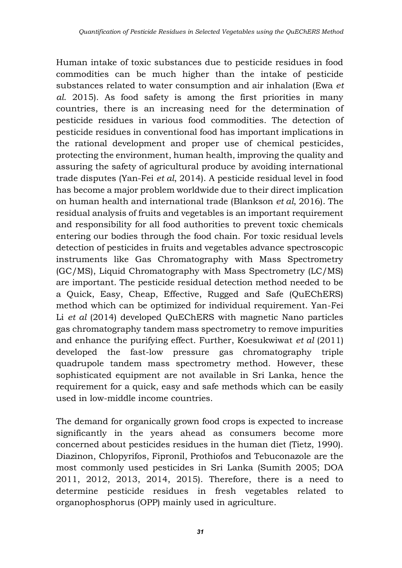Human intake of toxic substances due to pesticide residues in food commodities can be much higher than the intake of pesticide substances related to water consumption and air inhalation (Ewa *et al*. 2015). As food safety is among the first priorities in many countries, there is an increasing need for the determination of pesticide residues in various food commodities. The detection of pesticide residues in conventional food has important implications in the rational development and proper use of chemical pesticides, protecting the environment, human health, improving the quality and assuring the safety of agricultural produce by avoiding international trade disputes (Yan-Fei *et al*, 2014). A pesticide residual level in food has become a major problem worldwide due to their direct implication on human health and international trade (Blankson *et al*, 2016). The residual analysis of fruits and vegetables is an important requirement and responsibility for all food authorities to prevent toxic chemicals entering our bodies through the food chain. For toxic residual levels detection of pesticides in fruits and vegetables advance spectroscopic instruments like Gas Chromatography with Mass Spectrometry (GC/MS), Liquid Chromatography with Mass Spectrometry (LC/MS) are important. The pesticide residual detection method needed to be a Quick, Easy, Cheap, Effective, Rugged and Safe (QuEChERS) method which can be optimized for individual requirement. Yan-Fei Li *et al* (2014) developed QuEChERS with magnetic Nano particles gas chromatography tandem mass spectrometry to remove impurities and enhance the purifying effect. Further, Koesukwiwat *et al* (2011) developed the fast-low pressure gas chromatography triple quadrupole tandem mass spectrometry method. However, these sophisticated equipment are not available in Sri Lanka, hence the requirement for a quick, easy and safe methods which can be easily used in low-middle income countries.

The demand for organically grown food crops is expected to increase significantly in the years ahead as consumers become more concerned about pesticides residues in the human diet (Tietz, 1990). Diazinon, Chlopyrifos, Fipronil, Prothiofos and Tebuconazole are the most commonly used pesticides in Sri Lanka (Sumith 2005; DOA 2011, 2012, 2013, 2014, 2015). Therefore, there is a need to determine pesticide residues in fresh vegetables related to organophosphorus (OPP) mainly used in agriculture.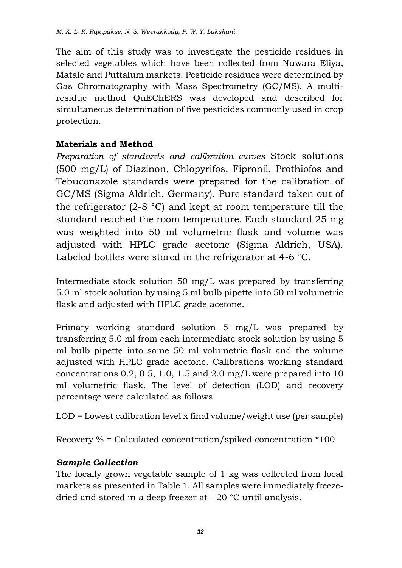The aim of this study was to investigate the pesticide residues in selected vegetables which have been collected from Nuwara Eliya, Matale and Puttalum markets. Pesticide residues were determined by Gas Chromatography with Mass Spectrometry (GC/MS). A multiresidue method QuEChERS was developed and described for simultaneous determination of five pesticides commonly used in crop protection.

### **Materials and Method**

*Preparation of standards and calibration curves* Stock solutions (500 mg/L) of Diazinon, Chlopyrifos, Fipronil, Prothiofos and Tebuconazole standards were prepared for the calibration of GC/MS (Sigma Aldrich, Germany). Pure standard taken out of the refrigerator (2-8 °C) and kept at room temperature till the standard reached the room temperature. Each standard 25 mg was weighted into 50 ml volumetric flask and volume was adjusted with HPLC grade acetone (Sigma Aldrich, USA). Labeled bottles were stored in the refrigerator at 4-6 °C.

Intermediate stock solution 50 mg/L was prepared by transferring 5.0 ml stock solution by using 5 ml bulb pipette into 50 ml volumetric flask and adjusted with HPLC grade acetone.

Primary working standard solution 5 mg/L was prepared by transferring 5.0 ml from each intermediate stock solution by using 5 ml bulb pipette into same 50 ml volumetric flask and the volume adjusted with HPLC grade acetone. Calibrations working standard concentrations 0.2, 0.5, 1.0, 1.5 and 2.0 mg/L were prepared into 10 ml volumetric flask. The level of detection (LOD) and recovery percentage were calculated as follows.

LOD = Lowest calibration level x final volume/weight use (per sample)

Recovery % = Calculated concentration/spiked concentration \*100

### *Sample Collection*

The locally grown vegetable sample of 1 kg was collected from local markets as presented in Table 1. All samples were immediately freezedried and stored in a deep freezer at - 20 °C until analysis.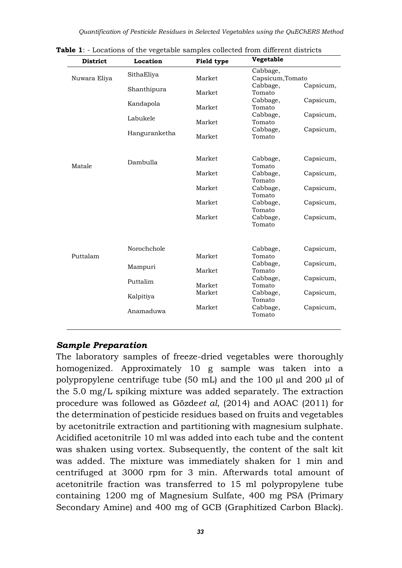| <b>District</b> | Location      | Field type | Vegetable                       |
|-----------------|---------------|------------|---------------------------------|
| Nuwara Eliya    | SithaEliya    | Market     | Cabbage,<br>Capsicum, Tomato    |
|                 | Shanthipura   | Market     | Cabbage,<br>Capsicum,<br>Tomato |
|                 | Kandapola     | Market     | Cabbage,<br>Capsicum,<br>Tomato |
|                 | Labukele      | Market     | Cabbage,<br>Capsicum,<br>Tomato |
|                 | Hanguranketha | Market     | Capsicum,<br>Cabbage,<br>Tomato |
| Matale          | Dambulla      | Market     | Capsicum,<br>Cabbage,<br>Tomato |
|                 |               | Market     | Cabbage,<br>Capsicum,<br>Tomato |
|                 |               | Market     | Cabbage,<br>Capsicum,<br>Tomato |
|                 |               | Market     | Capsicum,<br>Cabbage,<br>Tomato |
|                 |               | Market     | Capsicum,<br>Cabbage,<br>Tomato |
|                 |               |            |                                 |
| Puttalam        | Norochchole   | Market     | Capsicum,<br>Cabbage,<br>Tomato |
|                 | Mampuri       | Market     | Capsicum,<br>Cabbage,<br>Tomato |
|                 | Puttalim      | Market     | Cabbage,<br>Capsicum,<br>Tomato |
|                 | Kalpitiya     | Market     | Cabbage,<br>Capsicum,<br>Tomato |
|                 | Anamaduwa     | Market     | Cabbage,<br>Capsicum,<br>Tomato |

**Table 1**: - Locations of the vegetable samples collected from different districts

#### *Sample Preparation*

The laboratory samples of freeze-dried vegetables were thoroughly homogenized. Approximately 10 g sample was taken into a polypropylene centrifuge tube (50 mL) and the 100 µl and 200 µl of the 5.0 mg/L spiking mixture was added separately. The extraction procedure was followed as Gözde*et al*, (2014) and AOAC (2011) for the determination of pesticide residues based on fruits and vegetables by acetonitrile extraction and partitioning with magnesium sulphate. Acidified acetonitrile 10 ml was added into each tube and the content was shaken using vortex. Subsequently, the content of the salt kit was added. The mixture was immediately shaken for 1 min and centrifuged at 3000 rpm for 3 min. Afterwards total amount of acetonitrile fraction was transferred to 15 ml polypropylene tube containing 1200 mg of Magnesium Sulfate, 400 mg PSA (Primary Secondary Amine) and 400 mg of GCB (Graphitized Carbon Black).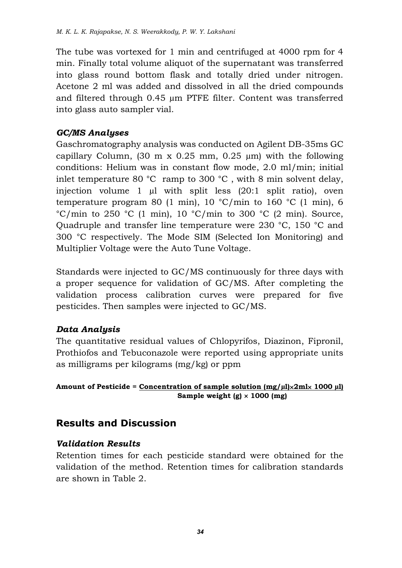The tube was vortexed for 1 min and centrifuged at 4000 rpm for 4 min. Finally total volume aliquot of the supernatant was transferred into glass round bottom flask and totally dried under nitrogen. Acetone 2 ml was added and dissolved in all the dried compounds and filtered through 0.45 µm PTFE filter. Content was transferred into glass auto sampler vial.

### *GC/MS Analyses*

Gaschromatography analysis was conducted on Agilent DB-35ms GC capillary Column,  $(30 \text{ m x } 0.25 \text{ mm}, 0.25 \text{ \mu m})$  with the following conditions: Helium was in constant flow mode, 2.0 ml/min; initial inlet temperature 80 °C ramp to 300 °C , with 8 min solvent delay, injection volume 1 µl with split less (20:1 split ratio), oven temperature program 80 (1 min), 10  $\degree$ C/min to 160  $\degree$ C (1 min), 6  $°C/min$  to 250 °C (1 min), 10 °C/min to 300 °C (2 min). Source, Quadruple and transfer line temperature were 230 °C, 150 °C and 300 °C respectively. The Mode SIM (Selected Ion Monitoring) and Multiplier Voltage were the Auto Tune Voltage.

Standards were injected to GC/MS continuously for three days with a proper sequence for validation of GC/MS. After completing the validation process calibration curves were prepared for five pesticides. Then samples were injected to GC/MS.

### *Data Analysis*

The quantitative residual values of Chlopyrifos, Diazinon, Fipronil, Prothiofos and Tebuconazole were reported using appropriate units as milligrams per kilograms (mg/kg) or ppm

Amount of Pesticide =  $\frac{Concentration}{\text{of sample solution (mg/u)} \times 2m} \times 1000 \text{ µl}}$  **Sample weight (g) 1000 (mg)**

### **Results and Discussion**

#### *Validation Results*

Retention times for each pesticide standard were obtained for the validation of the method. Retention times for calibration standards are shown in Table 2.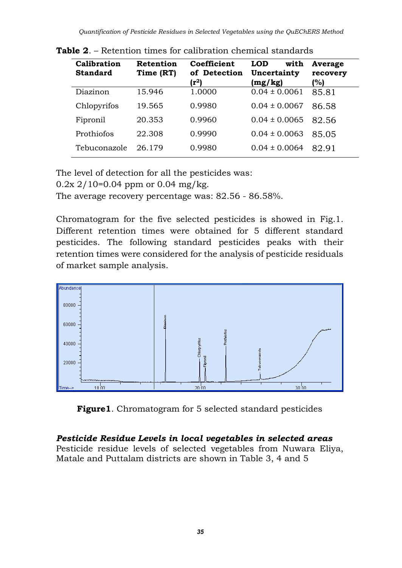| Calibration<br><b>Standard</b> | Retention<br>Time (RT) | Coefficient<br>of Detection<br>(r <sup>2</sup> ) | <b>LOD</b><br>with<br>Uncertainty<br>(mg/kg) | Average<br>recovery<br>(%) |  |
|--------------------------------|------------------------|--------------------------------------------------|----------------------------------------------|----------------------------|--|
| Diazinon                       | 15.946                 | 1.0000                                           | $0.04 \pm 0.0061$                            | 85.81                      |  |
| Chlopyrifos                    | 19.565                 | 0.9980                                           | $0.04 \pm 0.0067$                            | 86.58                      |  |
| Fipronil                       | 20.353                 | 0.9960                                           | $0.04 \pm 0.0065$                            | 82.56                      |  |
| Prothiofos                     | 22.308                 | 0.9990                                           | $0.04 \pm 0.0063$                            | 85.05                      |  |
| Tebuconazole                   | 26.179                 | 0.9980                                           | $0.04 \pm 0.0064$                            | 82.91                      |  |

**Table 2**. – Retention times for calibration chemical standards

The level of detection for all the pesticides was:

 $0.2x$  2/10=0.04 ppm or 0.04 mg/kg.

The average recovery percentage was: 82.56 - 86.58%.

Chromatogram for the five selected pesticides is showed in Fig.1. Different retention times were obtained for 5 different standard pesticides. The following standard pesticides peaks with their retention times were considered for the analysis of pesticide residuals of market sample analysis.



**Figure1**. Chromatogram for 5 selected standard pesticides

### *Pesticide Residue Levels in local vegetables in selected areas*

Pesticide residue levels of selected vegetables from Nuwara Eliya, Matale and Puttalam districts are shown in Table 3, 4 and 5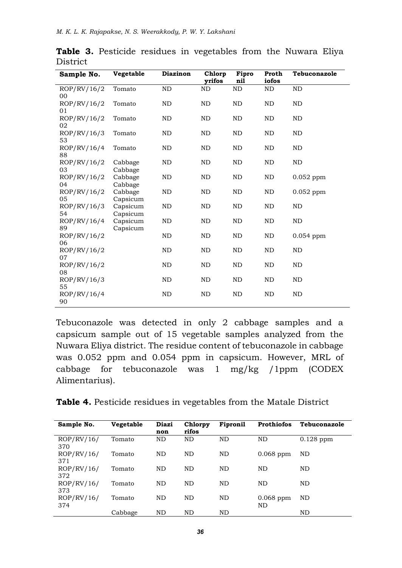| Sample No.        | Vegetable            | <b>Diazinon</b> | Chlorp<br>vrifos | Fipro<br>nil | Proth<br>iofos | Tebuconazole |
|-------------------|----------------------|-----------------|------------------|--------------|----------------|--------------|
| ROP/RV/16/2<br>00 | Tomato               | ND              | ND               | ND           | ND             | ND           |
| ROP/RV/16/2<br>01 | Tomato               | ND              | ND               | ND           | ND             | ND           |
| ROP/RV/16/2<br>02 | Tomato               | ND              | ND               | ND           | ND             | ND           |
| ROP/RV/16/3<br>53 | Tomato               | ND              | ND               | ND           | ND             | ND           |
| ROP/RV/16/4<br>88 | Tomato               | <b>ND</b>       | <b>ND</b>        | ND           | <b>ND</b>      | <b>ND</b>    |
| ROP/RV/16/2<br>03 | Cabbage<br>Cabbage   | ND              | ND               | ND           | ND             | ND           |
| ROP/RV/16/2<br>04 | Cabbage<br>Cabbage   | ND              | ND               | ND           | ND             | $0.052$ ppm  |
| ROP/RV/16/2<br>05 | Cabbage<br>Capsicum  | ND              | ND               | ND           | ND             | $0.052$ ppm  |
| ROP/RV/16/3<br>54 | Capsicum<br>Capsicum | ND              | <b>ND</b>        | <b>ND</b>    | ND             | ND           |
| ROP/RV/16/4<br>89 | Capsicum<br>Capsicum | ND              | ND               | ND           | ND             | ND           |
| ROP/RV/16/2<br>06 |                      | <b>ND</b>       | <b>ND</b>        | ND           | ND             | $0.054$ ppm  |
| ROP/RV/16/2<br>07 |                      | <b>ND</b>       | ND               | <b>ND</b>    | <b>ND</b>      | ND           |
| ROP/RV/16/2<br>08 |                      | ND              | ND               | ND           | ND             | ND           |
| ROP/RV/16/3<br>55 |                      | <b>ND</b>       | <b>ND</b>        | <b>ND</b>    | <b>ND</b>      | ND           |
| ROP/RV/16/4<br>90 |                      | ND              | ND               | ND           | ND             | ND           |

|          |  |  | Table 3. Pesticide residues in vegetables from the Nuwara Eliya |  |  |
|----------|--|--|-----------------------------------------------------------------|--|--|
| District |  |  |                                                                 |  |  |

Tebuconazole was detected in only 2 cabbage samples and a capsicum sample out of 15 vegetable samples analyzed from the Nuwara Eliya district. The residue content of tebuconazole in cabbage was 0.052 ppm and 0.054 ppm in capsicum. However, MRL of cabbage for tebuconazole was 1 mg/kg /1ppm (CODEX Alimentarius).

|  |  |  | <b>Table 4.</b> Pesticide residues in vegetables from the Matale District |  |  |  |  |
|--|--|--|---------------------------------------------------------------------------|--|--|--|--|
|--|--|--|---------------------------------------------------------------------------|--|--|--|--|

| Sample No.        | Vegetable | Diazi<br>non | Chlorpy<br>rifos | Fipronil  | Prothiofos        | Tebuconazole |
|-------------------|-----------|--------------|------------------|-----------|-------------------|--------------|
| ROP/RV/16/<br>370 | Tomato    | ND           | <b>ND</b>        | ND        | ND                | $0.128$ ppm  |
| ROP/RV/16/<br>371 | Tomato    | ND           | <b>ND</b>        | ND        | $0.068$ ppm       | ND           |
| ROP/RV/16/<br>372 | Tomato    | ND           | <b>ND</b>        | ND        | ND                | ND           |
| ROP/RV/16/<br>373 | Tomato    | <b>ND</b>    | <b>ND</b>        | <b>ND</b> | ND                | <b>ND</b>    |
| ROP/RV/16/<br>374 | Tomato    | ND           | <b>ND</b>        | ND        | $0.068$ ppm<br>ND | ND           |
|                   | Cabbage   | ND           | <b>ND</b>        | ND        |                   | ND           |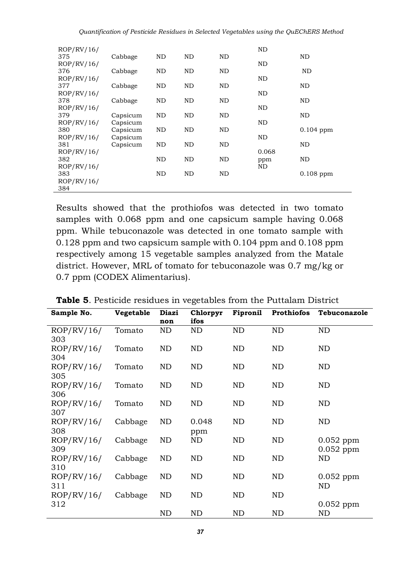| ROP/RV/16/<br>375 | Cabbage              | ND  | ND | ND | ND           | ND          |
|-------------------|----------------------|-----|----|----|--------------|-------------|
| ROP/RV/16/        |                      |     |    |    | ND           |             |
| 376<br>ROP/RV/16/ | Cabbage              | ND  | ND | ND | ND           | ND          |
| 377<br>ROP/RV/16/ | Cabbage              | ND  | ND | ND | ND           | ND          |
| 378               | Cabbage              | ND  | ND | ND |              | ND          |
| ROP/RV/16/<br>379 | Capsicum             | ND  | ND | ND | ND           | ND          |
| ROP/RV/16/        | Capsicum             |     |    |    | ND           |             |
| 380<br>ROP/RV/16/ | Capsicum<br>Capsicum | ND  | ND | ND | ND           | $0.104$ ppm |
| 381               | Capsicum             | ND  | ND | ND |              | ND          |
| ROP/RV/16/<br>382 |                      | ND  | ND | ND | 0.068<br>ppm | ND          |
| ROP/RV/16/        |                      |     |    |    | ND           |             |
| 383<br>ROP/RV/16/ |                      | ND. | ND | ND |              | $0.108$ ppm |
| 384               |                      |     |    |    |              |             |

Results showed that the prothiofos was detected in two tomato samples with 0.068 ppm and one capsicum sample having 0.068 ppm. While tebuconazole was detected in one tomato sample with 0.128 ppm and two capsicum sample with 0.104 ppm and 0.108 ppm respectively among 15 vegetable samples analyzed from the Matale district. However, MRL of tomato for tebuconazole was 0.7 mg/kg or 0.7 ppm (CODEX Alimentarius).

| Sample No.        | <b>Vegetable</b> | Diazi<br>non | Chlorpyr<br>ifos | Fipronil  | <b>Prothiofos</b> | Tebuconazole      |
|-------------------|------------------|--------------|------------------|-----------|-------------------|-------------------|
| ROP/RV/16/        | Tomato           | ND           | ND               | ND        | ND                | ND                |
| 303               |                  |              |                  |           |                   |                   |
| ROP/RV/16/        | Tomato           | ND           | ND               | ND.       | ND                | ND                |
| 304               |                  |              |                  |           |                   |                   |
| ROP/RV/16/        | Tomato           | ND           | ND               | ND.       | ND                | <b>ND</b>         |
| 305               |                  |              |                  |           |                   |                   |
| ROP/RV/16/        | Tomato           | ND           | ND               | ND.       | ND                | ND                |
| 306               |                  |              |                  |           |                   |                   |
| ROP/RV/16/        | Tomato           | ND           | ND               | ND        | ND                | ND                |
| 307               |                  |              |                  |           |                   |                   |
| ROP/RV/16/        | Cabbage          | ND           | 0.048            | ND.       | ND                | ND                |
| 308               |                  |              | ppm              |           |                   |                   |
| ROP/RV/16/        | Cabbage          | ND           | ND               | ND.       | ND                | $0.052$ ppm       |
| 309               |                  |              |                  |           |                   | $0.052$ ppm       |
| ROP/RV/16/<br>310 | Cabbage          | ND           | ND               | <b>ND</b> | ND                | ND                |
|                   |                  |              | ND               | <b>ND</b> | ND                |                   |
| ROP/RV/16/<br>311 | Cabbage          | ND           |                  |           |                   | $0.052$ ppm<br>ND |
| ROP/RV/16/        | Cabbage          | ND           | ND               | ND.       | ND                |                   |
| 312               |                  |              |                  |           |                   | $0.052$ ppm       |
|                   |                  | ND           | ND               | <b>ND</b> | ND                | ND                |
|                   |                  |              |                  |           |                   |                   |

**Table 5**. Pesticide residues in vegetables from the Puttalam District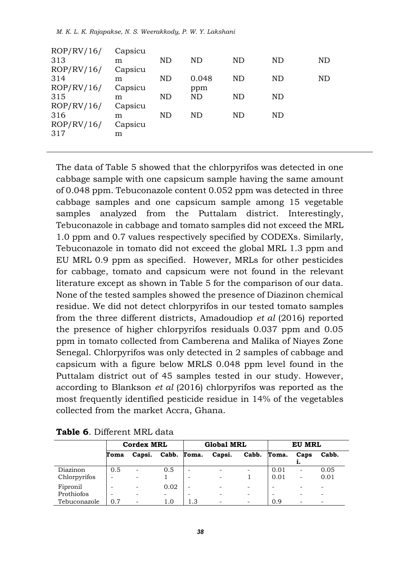|  |  |  |  |  |  |  | M. K. L. K. Rajapakse, N. S. Weerakkody, P. W. Y. Lakshani |  |  |  |  |
|--|--|--|--|--|--|--|------------------------------------------------------------|--|--|--|--|
|--|--|--|--|--|--|--|------------------------------------------------------------|--|--|--|--|

| ND |
|----|
|    |
|    |
| ND |
|    |
|    |
|    |
|    |
|    |
|    |
|    |
|    |

The data of Table 5 showed that the chlorpyrifos was detected in one cabbage sample with one capsicum sample having the same amount of 0.048 ppm. Tebuconazole content 0.052 ppm was detected in three cabbage samples and one capsicum sample among 15 vegetable samples analyzed from the Puttalam district. Interestingly, Tebuconazole in cabbage and tomato samples did not exceed the MRL 1.0 ppm and 0.7 values respectively specified by CODEXs. Similarly, Tebuconazole in tomato did not exceed the global MRL 1.3 ppm and EU MRL 0.9 ppm as specified. However, MRLs for other pesticides for cabbage, tomato and capsicum were not found in the relevant literature except as shown in Table 5 for the comparison of our data. None of the tested samples showed the presence of Diazinon chemical residue. We did not detect chlorpyrifos in our tested tomato samples from the three different districts, Amadoudiop *et al* (2016) reported the presence of higher chlorpyrifos residuals 0.037 ppm and 0.05 ppm in tomato collected from Camberena and Malika of Niayes Zone Senegal. Chlorpyrifos was only detected in 2 samples of cabbage and capsicum with a figure below MRLS 0.048 ppm level found in the Puttalam district out of 45 samples tested in our study. However, according to Blankson *et al* (2016) chlorpyrifos was reported as the most frequently identified pesticide residue in 14% of the vegetables collected from the market Accra, Ghana.

|                          | <b>Cordex MRL</b> |        |                                  | <b>Global MRL</b> |                                                      |                               | EU MRL       |                          |                                               |
|--------------------------|-------------------|--------|----------------------------------|-------------------|------------------------------------------------------|-------------------------------|--------------|--------------------------|-----------------------------------------------|
|                          | Toma              | Capsi. |                                  | Cabb. Toma.       | Capsi.                                               | Cabb.                         | Toma.        | Caps<br>                 | Cabb.                                         |
| Diazinon<br>Chlorpyrifos | 0.5<br>-          |        | 0.5                              | -<br>-            | $\overline{\phantom{0}}$<br>$\qquad \qquad -$        |                               | 0.01<br>0.01 | $\overline{\phantom{0}}$ | 0.05<br>0.01                                  |
| Fipronil<br>Prothiofos   | -                 |        | 0.02<br>$\overline{\phantom{0}}$ | -<br>-            | $\overline{\phantom{0}}$<br>$\overline{\phantom{0}}$ | $\overline{\phantom{0}}$<br>- |              |                          | $\qquad \qquad -$<br>$\overline{\phantom{0}}$ |
| Tebuconazole             | 0.7               |        | 1.0                              | 1.3               | $\qquad \qquad -$                                    | $\overline{\phantom{0}}$      | 0.9          |                          | $\overline{\phantom{0}}$                      |

|  | Table 6. Different MRL data |  |  |
|--|-----------------------------|--|--|
|--|-----------------------------|--|--|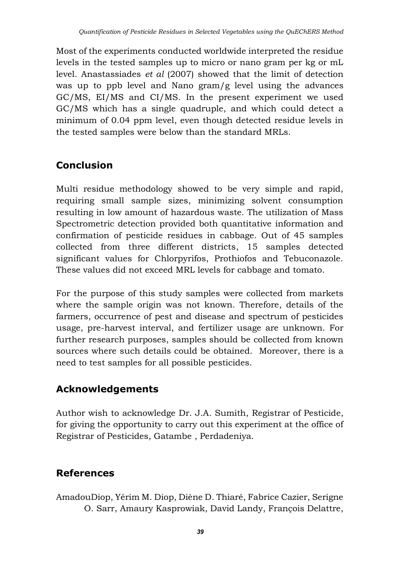Most of the experiments conducted worldwide interpreted the residue levels in the tested samples up to micro or nano gram per kg or mL level. Anastassiades *et al* (2007) showed that the limit of detection was up to ppb level and Nano gram/g level using the advances GC/MS, EI/MS and CI/MS. In the present experiment we used GC/MS which has a single quadruple, and which could detect a minimum of 0.04 ppm level, even though detected residue levels in the tested samples were below than the standard MRLs.

# **Conclusion**

Multi residue methodology showed to be very simple and rapid, requiring small sample sizes, minimizing solvent consumption resulting in low amount of hazardous waste. The utilization of Mass Spectrometric detection provided both quantitative information and confirmation of pesticide residues in cabbage. Out of 45 samples collected from three different districts, 15 samples detected significant values for Chlorpyrifos, Prothiofos and Tebuconazole. These values did not exceed MRL levels for cabbage and tomato.

For the purpose of this study samples were collected from markets where the sample origin was not known. Therefore, details of the farmers, occurrence of pest and disease and spectrum of pesticides usage, pre-harvest interval, and fertilizer usage are unknown. For further research purposes, samples should be collected from known sources where such details could be obtained. Moreover, there is a need to test samples for all possible pesticides.

# **Acknowledgements**

Author wish to acknowledge Dr. J.A. Sumith, Registrar of Pesticide, for giving the opportunity to carry out this experiment at the office of Registrar of Pesticides, Gatambe , Perdadeniya.

# **References**

AmadouDiop, Yérim M. Diop, Diène D. Thiaré, Fabrice Cazier, Serigne O. Sarr, Amaury Kasprowiak, David Landy, François Delattre,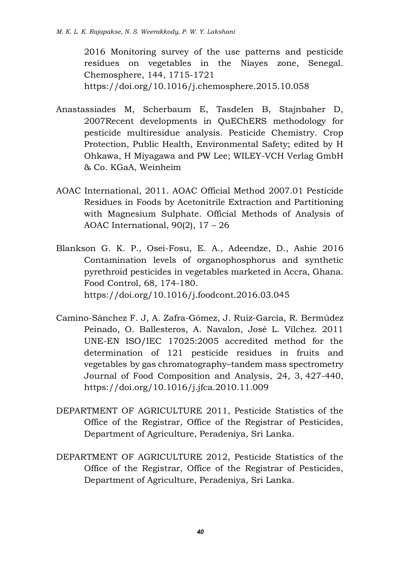2016 Monitoring survey of the use patterns and pesticide residues on vegetables in the Niayes zone, Senegal. Chemosphere, 144, 1715-1721 <https://doi.org/10.1016/j.chemosphere.2015.10.058>

- Anastassiades M, Scherbaum E, Tasdelen B, Stajnbaher D, 2007Recent developments in QuEChERS methodology for pesticide multiresidue analysis. Pesticide Chemistry. Crop Protection, Public Health, Environmental Safety; edited by H Ohkawa, H Miyagawa and PW Lee; WILEY-VCH Verlag GmbH & Co. KGaA, Weinheim
- AOAC International, 2011. AOAC Official Method 2007.01 Pesticide Residues in Foods by Acetonitrile Extraction and Partitioning with Magnesium Sulphate. Official Methods of Analysis of AOAC International, 90(2), 17 – 26
- Blankson G. K. P., Osei-Fosu, E. A., Adeendze, D., Ashie 2016 Contamination levels of organophosphorus and synthetic pyrethroid pesticides in vegetables marketed in Accra, Ghana. Food Control, 68, 174-180. <https://doi.org/10.1016/j.foodcont.2016.03.045>
- Camino-Sánchez F. J, A. Zafra-Gómez, J. Ruiz-García, R. Bermúdez Peinado, O. Ballesteros, A. Navalon, José L. Vílchez. 2011 UNE-EN ISO/IEC 17025:2005 accredited method for the determination of 121 pesticide residues in fruits and vegetables by gas chromatography–tandem mass spectrometry Journal of Food Composition and Analysis, 24, 3, 427-440, <https://doi.org/10.1016/j.jfca.2010.11.009>
- DEPARTMENT OF AGRICULTURE 2011, Pesticide Statistics of the Office of the Registrar, Office of the Registrar of Pesticides, Department of Agriculture, Peradeniya, Sri Lanka.
- DEPARTMENT OF AGRICULTURE 2012, Pesticide Statistics of the Office of the Registrar, Office of the Registrar of Pesticides, Department of Agriculture, Peradeniya, Sri Lanka.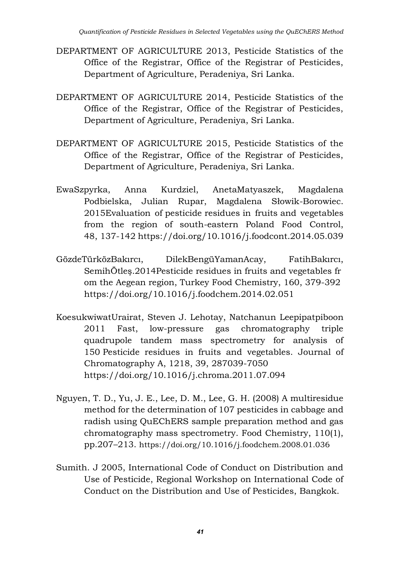- DEPARTMENT OF AGRICULTURE 2013, Pesticide Statistics of the Office of the Registrar, Office of the Registrar of Pesticides, Department of Agriculture, Peradeniya, Sri Lanka.
- DEPARTMENT OF AGRICULTURE 2014, Pesticide Statistics of the Office of the Registrar, Office of the Registrar of Pesticides, Department of Agriculture, Peradeniya, Sri Lanka.
- DEPARTMENT OF AGRICULTURE 2015, Pesticide Statistics of the Office of the Registrar, Office of the Registrar of Pesticides, Department of Agriculture, Peradeniya, Sri Lanka.
- EwaSzpyrka, Anna Kurdziel, AnetaMatyaszek, Magdalena Podbielska, Julian Rupar, Magdalena Słowik-Borowiec. 2015Evaluation of pesticide residues in fruits and vegetables from the region of south-eastern Poland Food Control, 48, 137-142 <https://doi.org/10.1016/j.foodcont.2014.05.039>
- GözdeTürközBakırcı, DilekBengüYamanAcay, FatihBakırcı, SemihÖtleş.2014Pesticide residues in fruits and vegetables fr om the Aegean region, Turkey Food Chemistry, 160, 379-392 <https://doi.org/10.1016/j.foodchem.2014.02.051>
- KoesukwiwatUrairat, Steven J. Lehotay, Natchanun Leepipatpiboon 2011 Fast, low-pressure gas chromatography triple quadrupole tandem mass spectrometry for analysis of 150 Pesticide residues in fruits and vegetables. Journal of Chromatography A, 1218, 39, 287039-7050 <https://doi.org/10.1016/j.chroma.2011.07.094>
- Nguyen, T. D., Yu, J. E., Lee, D. M., Lee, G. H. (2008) A multiresidue method for the determination of 107 pesticides in cabbage and radish using QuEChERS sample preparation method and gas chromatography mass spectrometry. Food Chemistry, 110(1), pp.207–213. <https://doi.org/10.1016/j.foodchem.2008.01.036>
- Sumith. J 2005, International Code of Conduct on Distribution and Use of Pesticide, Regional Workshop on International Code of Conduct on the Distribution and Use of Pesticides, Bangkok.